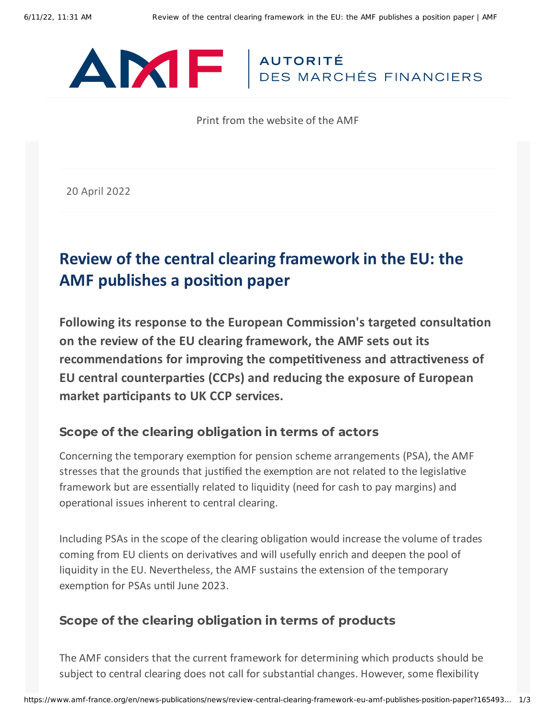

Print from the website of the AMF

20 April 2022

# **Review of the central clearing framework in the EU: the AMF publishes a position paper**

**Following its response to the European Commission's targeted consultation on the review of the EU clearing framework, the AMF sets out its recommendations for improving the competitiveness and attractiveness of EU central counterparties (CCPs) and reducing the exposure of European market participants to UK CCP services.**

#### Scope of the clearing obligation in terms of actors

Concerning the temporary exemption for pension scheme arrangements (PSA), the AMF stresses that the grounds that justified the exemption are not related to the legislative framework but are essentially related to liquidity (need for cash to pay margins) and operational issues inherent to central clearing.

Including PSAs in the scope of the clearing obligation would increase the volume of trades coming from EU clients on derivatives and will usefully enrich and deepen the pool of liquidity in the EU. Nevertheless, the AMF sustains the extension of the temporary exemption for PSAs until June 2023.

### Scope of the clearing obligation in terms of products

The AMF considers that the current framework for determining which products should be subject to central clearing does not call for substantial changes. However, some flexibility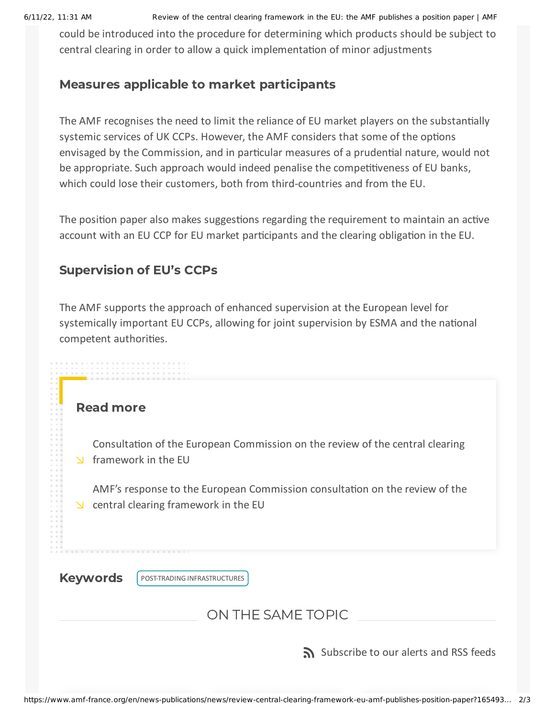6/11/22, 11:31 AM Review of the central clearing framework in the EU: the AMF publishes a position paper | AMF

could be introduced into the procedure for determining which products should be subject to central clearing in order to allow a quick implementation of minor adjustments

## Measures applicable to market participants

The AMF recognises the need to limit the reliance of EU market players on the substantially systemic services of UK CCPs. However, the AMF considers that some of the options envisaged by the Commission, and in particular measures of a prudential nature, would not be appropriate. Such approach would indeed penalise the competitiveness of EU banks, which could lose their customers, both from third-countries and from the EU.

The position paper also makes suggestions regarding the requirement to maintain an active account with an EU CCP for EU market participants and the clearing obligation in the EU.

# Supervision of EU's CCPs

The AMF supports the approach of enhanced supervision at the European level for systemically important EU CCPs, allowing for joint supervision by ESMA and the national competent authorities.

#### Read more

[Consultation](https://ec.europa.eu/info/business-economy-euro/banking-and-finance/regulatory-process-financial-services/consultations-banking-and-finance/targeted-consultation-review-central-clearing-framework-eu_en) of the European Commission on the review of the central clearing framework in the EU

AMF's response to the European [Commission](https://www.amf-france.org/en/news-publications/amfs-eu-positions/amfs-response-european-commission-consultation-review-central-clearing-framework-eu) consultation on the review of the  $\vee$  central clearing framework in the EU

Keywords | POST-TRADING [INFRASTRUCTURES](https://www.amf-france.org/en/recherche/resultat?form=global&key=Post-trading%20infrastructures&sort%5Bfield%5D=date&sort%5Bsort%5D=DESC)

ON THE SAME TOPIC

[Subscribe](https://www.amf-france.org/en/subscriptions-rss-feeds) to our alerts and RSS feeds